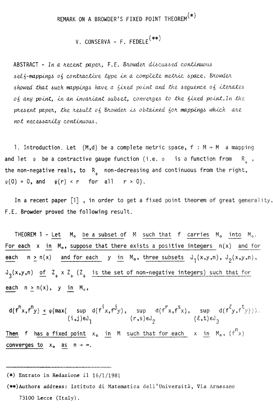## REMARK ON A BROWDER'S FIXED POINT THEOREM<sup>(\*)</sup>

## V. CONSERVA - F. FEDELE<sup>(\*\*)</sup>

ABSTRACT - In a recent paper, F.E. Browder discussed continuous self-mappings of contractive type in a complete metric space. Browder showed that such mappings have a fixed point and the seguence of iterates of any point, in an invariant subset, converges to the fixed point. In the present paper, the result of Browder is obtained for mappings which are not necessarily continuous.

1. Introduction. Let  $(M,d)$  be a complete metric space, f:  $M \rightarrow M$  a mapping and let  $\psi$  be a contractive gauge function (i.e.  $\psi$  is a function from R<sub>1</sub>, the non-negative reals, to  $R_{\perp}$  non-decreasing and continuous from the right,

 $\psi(0) = 0$ , and  $\psi(r) < r$  for all  $r > 0$ ).

In a recent paper  $\begin{bmatrix} 1 \end{bmatrix}$ , in order to get a fixed point theorem of great generality, F.E. Browder proved the following result.

THEOREM  $1$  - Let  $M_0$  be a subset of M such that f carries  $M_0$  into  $M_0$ . For each  $x$  in  $M_0$ , suppose that there exists a positive integers  $n(x)$  and for each  $n \ge n(x)$  and for each y in M<sub>o</sub>, three subsets  $J_1(x,y,n)$ ,  $J_2(x,y,n)$ ,  $J_3(x,y,n)$  of  $Z_+ \times Z_+$  ( $Z_+$  is the set of non-negative integers) such that for each  $n > n(x)$ , y in  $M_o$ ,

$$
d(f^{n}x, f^{n}y) \leq \psi(\max(\sup_{i,j})\in J_{1} d(f^{i}x, f^{j}y), \sup_{(r,s)\in J_{2}} d(f^{r}x, f^{s}x), \sup_{(l,t)\in J_{3}} d(f^{l}y, f^{t}y)).
$$
\n(1,1)



## (\*) Entrato in Redazione il  $16/1/1981$

## (\*\*)Authors address: Istituto di Matematica dell'Università, Via Arnesano

73100 Lecce  $(Italy).$